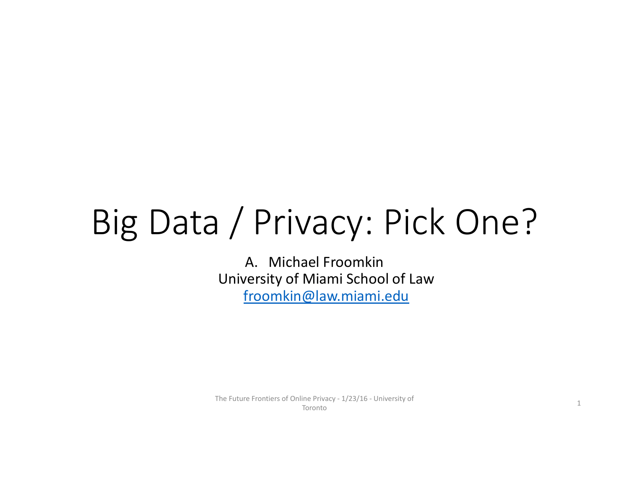# Big Data / Privacy: Pick One?

A. Michael FroomkinUniversity of Miami School of Law froomkin@law.miami.edu

The Future Frontiers of Online Privacy ‐ 1/23/16 ‐ University of Toronto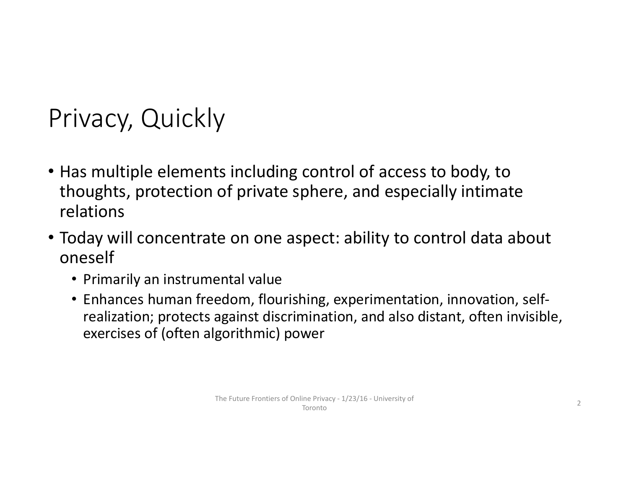### Privacy, Quickly

- Has multiple elements including control of access to body, to thoughts, protection of private sphere, and especially intimate relations
- Today will concentrate on one aspect: ability to control data about oneself
	- Primarily an instrumental value
	- Enhances human freedom, flourishing, experimentation, innovation, self‐ realization; protects against discrimination, and also distant, often invisible, exercises of (often algorithmic) power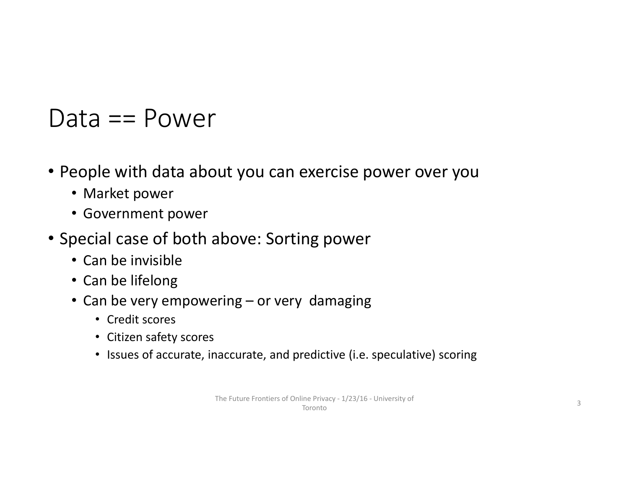### Data == Power

- People with data about you can exercise power over you
	- Market power
	- Government power
- Special case of both above: Sorting power
	- Can be invisible
	- Can be lifelong
	- Can be very empowering or very damaging
		- Credit scores
		- Citizen safety scores
		- Issues of accurate, inaccurate, and predictive (i.e. speculative) scoring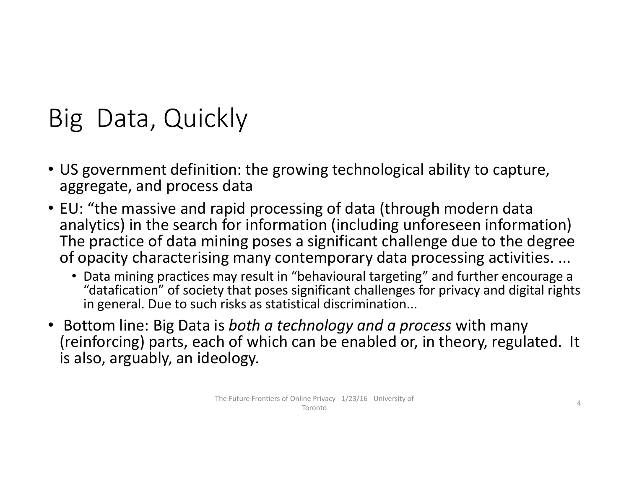### Big Data, Quickly

- US government definition: the growing technological ability to capture, aggregate, and process data
- EU: "the massive and rapid processing of data (through modern data analytics) in the search for information (including unforeseen information) The practice of data mining poses <sup>a</sup> significant challenge due to the degree of opacity characterising many contemporary data processing activities. ...
	- Data mining practices may result in "behavioural targeting" and further encourage <sup>a</sup> "datafication" of society that poses significant challenges for privacy and digital rights in general. Due to such risks as statistical discrimination...
- Bottom line: Big Data is *both <sup>a</sup> technology and <sup>a</sup> process* with many (reinforcing) parts, each of which can be enabled or, in theory, regulated. It is also, arguably, an ideology.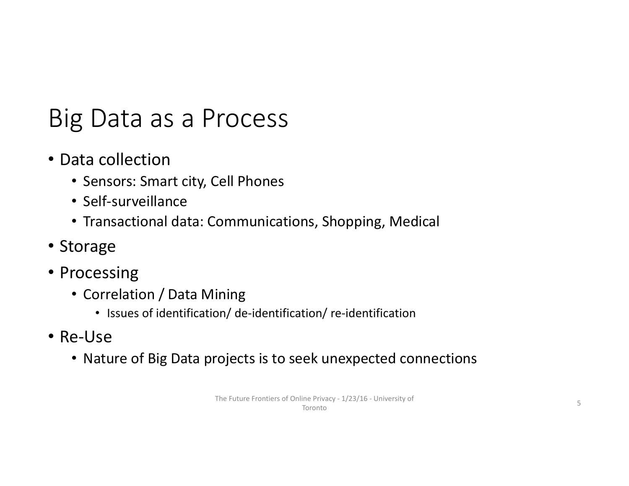### Big Data as <sup>a</sup> Process

- Data collection
	- Sensors: Smart city, Cell Phones
	- Self‐surveillance
	- Transactional data: Communications, Shopping, Medical
- Storage
- Processing
	- Correlation / Data Mining
		- Issues of identification/ de-identification/ re-identification
- Re‐Use
	- Nature of Big Data projects is to seek unexpected connections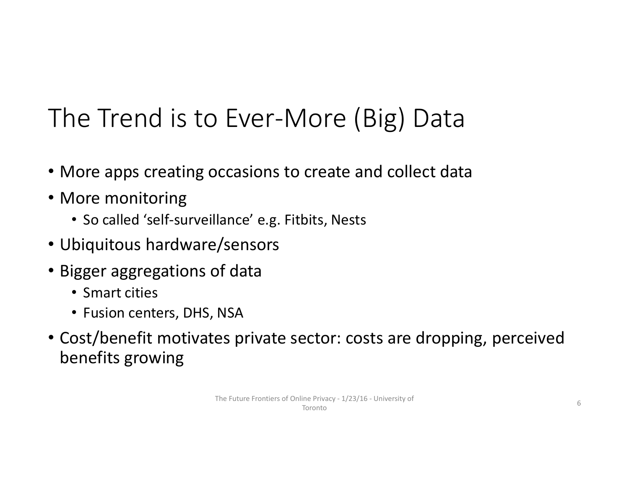### The Trend is to Ever‐More (Big) Data

- More apps creating occasions to create and collect data
- More monitoring
	- So called 'self‐surveillance' e.g. Fitbits, Nests
- Ubiquitous hardware/sensors
- Bigger aggregations of data
	- Smart cities
	- Fusion centers, DHS, NSA
- Cost/benefit motivates private sector: costs are dropping, perceived benefits growing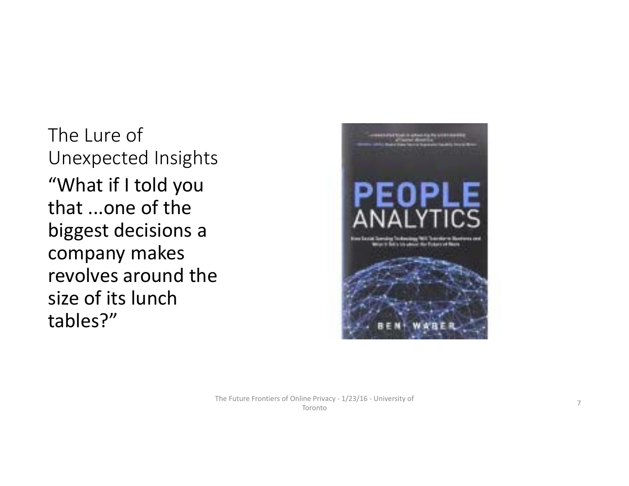The Lure of Unexpected Insights "What if I told you that ...one of the biggest decisions <sup>a</sup> company makes revolves around the size of its lunch tables?"

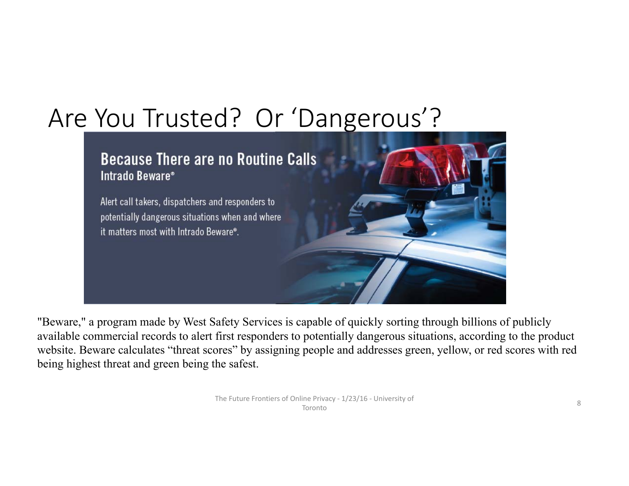### Are You Trusted? Or 'Dangerous'?

#### **Because There are no Routine Calls** Intrado Beware®

Alert call takers, dispatchers and responders to potentially dangerous situations when and where it matters most with Intrado Beware®.

"Beware," a program made by West Safety Services is capable of quickly sorting through billions of publicly available commercial records to alert first responders to potentially dangerous situations, according to the product website. Beware calculates "threat scores" by assigning people and addresses green, yellow, or red scores with red being highest threat and green being the safest.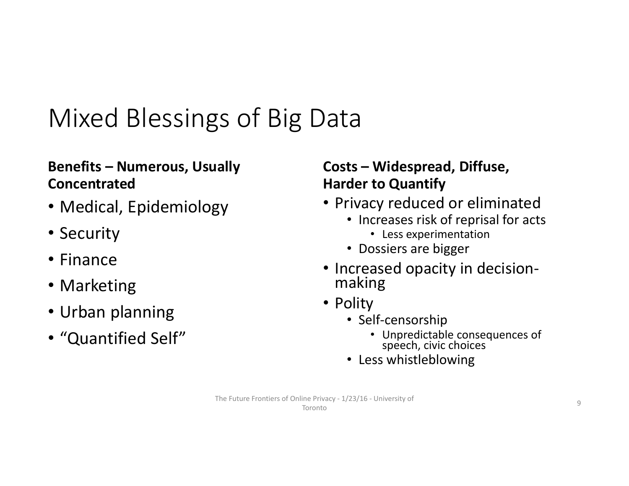### Mixed Blessings of Big Data

#### **Benefits – Numerous, Usually Concentrated**

- Medical, Epidemiology
- Security
- Finance
- Marketing
- Urban planning
- "Quantified Self"

#### **Costs – Widespread, Diffuse, Harder to Quantify**

- Privacy reduced or eliminated
	- Increases risk of reprisal for acts
		- Less experimentation
	- Dossiers are bigger
- Increased opacity in decision‐ making
- Polity
	- Self‐censorship
		- Unpredictable consequences of speech, civic choices
	- Less whistleblowing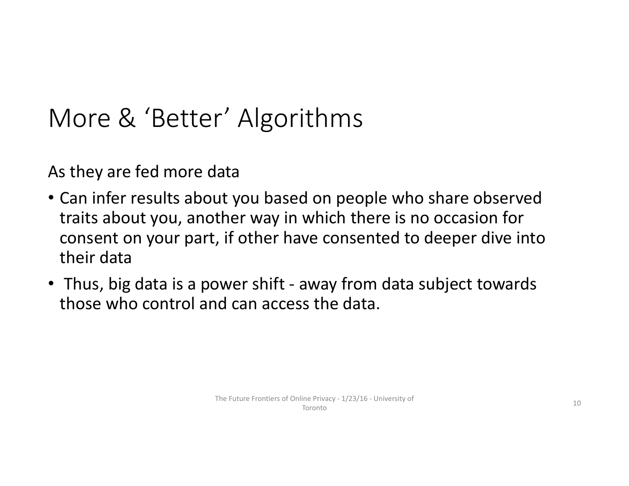### More & 'Better' Algorithms

As they are fed more data

- Can infer results about you based on people who share observed traits about you, another way in which there is no occasion for consent on your part, if other have consented to deeper dive into their data
- Thus, big data is <sup>a</sup> power shift ‐ away from data subject towards those who control and can access the data.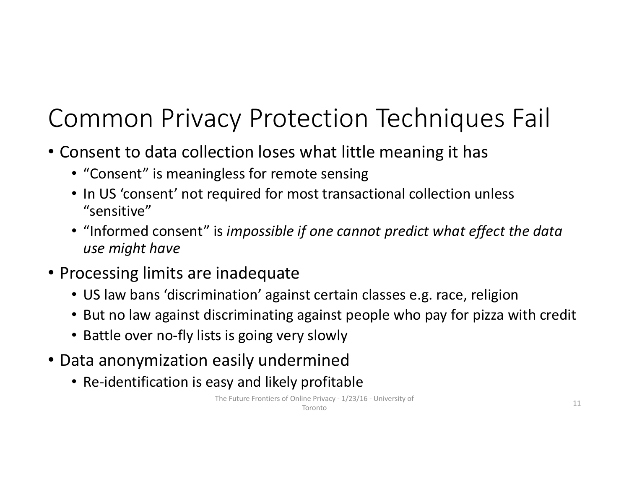### Common Privacy Protection Techniques Fail

- Consent to data collection loses what little meaning it has
	- "Consent" is meaningless for remote sensing
	- In US 'consent' not required for most transactional collection unless "sensitive"
	- "Informed consent" is *impossible if one cannot predict what effect the data use might have*
- Processing limits are inadequate
	- US law bans 'discrimination' against certain classes e.g. race, religion
	- But no law against discriminating against people who pay for pizza with credit
	- Battle over no‐fly lists is going very slowly
- Data anonymization easily undermined
	- Re‐identification is easy and likely profitable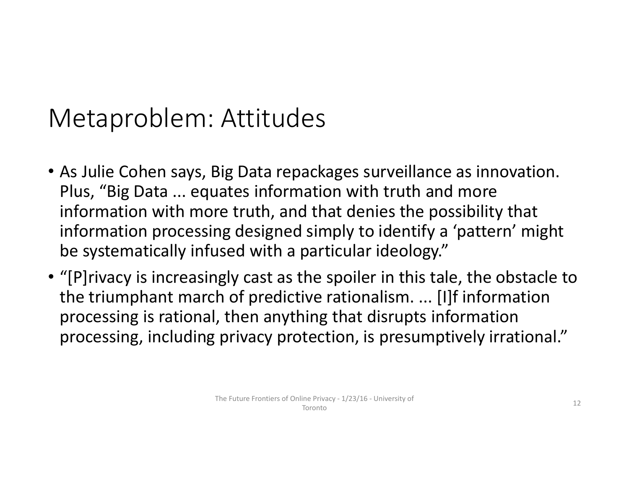### Metaproblem: Attitudes

- As Julie Cohen says, Big Data repackages surveillance as innovation. Plus, "Big Data ... equates information with truth and more information with more truth, and that denies the possibility that information processing designed simply to identify <sup>a</sup> 'pattern' might be systematically infused with <sup>a</sup> particular ideology."
- "[P]rivacy is increasingly cast as the spoiler in this tale, the obstacle to the triumphant march of predictive rationalism. ... [I]f information processing is rational, then anything that disrupts information processing, including privacy protection, is presumptively irrational."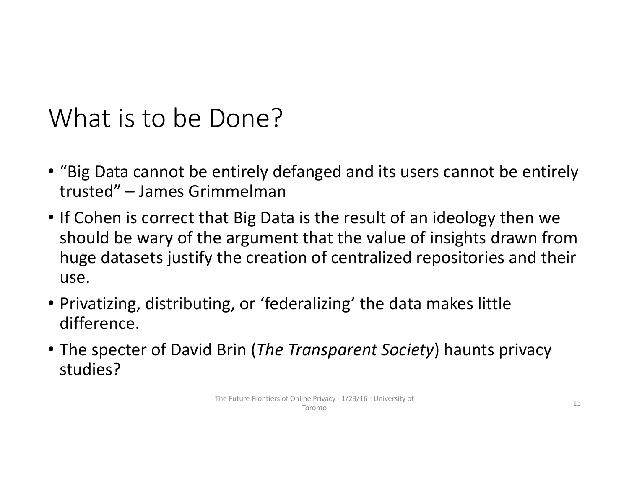### What is to be Done?

- "Big Data cannot be entirely defanged and its users cannot be entirely trusted" – James Grimmelman
- If Cohen is correct that Big Data is the result of an ideology then we should be wary of the argument that the value of insights drawn from huge datasets justify the creation of centralized repositories and their use.
- Privatizing, distributing, or 'federalizing' the data makes little difference.
- The specter of David Brin (*The Transparent Society*) haunts privacy studies?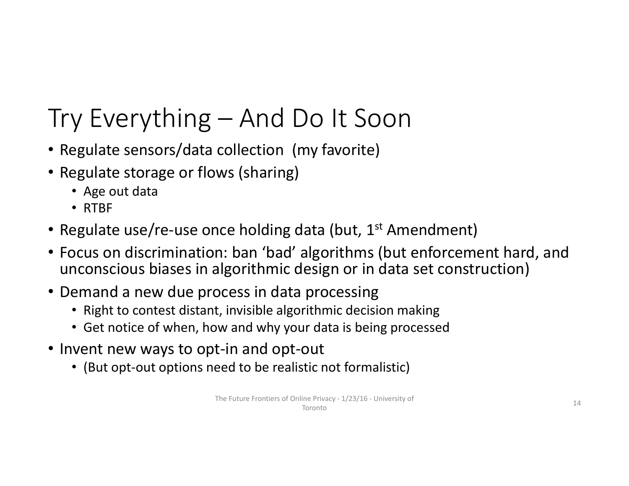### Try Everything – And Do It Soon

- Regulate sensors/data collection (my favorite)
- Regulate storage or flows (sharing)
	- Age out data
	- RTBF
- Regulate use/re-use once holding data (but, 1<sup>st</sup> Amendment)
- Focus on discrimination: ban 'bad' algorithms (but enforcement hard, and unconscious biases in algorithmic design or in data set construction)
- Demand a new due process in data processing
	- Right to contest distant, invisible algorithmic decision making
	- Get notice of when, how and why your data is being processed
- Invent new ways to opt‐in and opt‐out
	- (But opt-out options need to be realistic not formalistic)